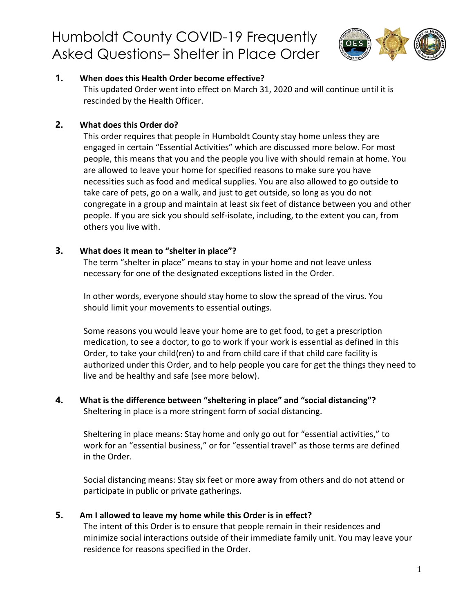

### **1. [When does this Health Order become](https://humboldtgov.org/FAQ.aspx?TID=93) effective?**

This updated Order went into effect on March 31, 2020 and will continue until it is rescinded by the Health Officer.

### **2. [What does this Order](https://humboldtgov.org/FAQ.aspx?TID=93) do?**

This order requires that people in Humboldt County stay home unless they are engaged in certain "Essential Activities" which are discussed more below. For most people, this means that you and the people you live with should remain at home. You are allowed to leave your home for specified reasons to make sure you have necessities such as food and medical supplies. You are also allowed to go outside to take care of pets, go on a walk, and just to get outside, so long as you do not congregate in a group and maintain at least six feet of distance between you and other people. If you are sick you should self-isolate, including, to the extent you can, from others you live with.

### **3. [What does it mean to "shelter in](https://humboldtgov.org/FAQ.aspx?TID=93) place"?**

The term "shelter in place" means to stay in your home and not leave unless necessary for one of the designated exceptions listed in the Order.

In other words, everyone should stay home to slow the spread of the virus. You should limit your movements to essential outings.

Some reasons you would leave your home are to get food, to get a prescription medication, to see a doctor, to go to work if your work is essential as defined in this Order, to take your child(ren) to and from child care if that child care facility is authorized under this Order, and to help people you care for get the things they need to live and be healthy and safe (see more below).

### **4. [What is the difference between "sheltering in place" and "social](https://humboldtgov.org/FAQ.aspx?TID=93) distancing"?** Sheltering in place is a more stringent form of social distancing.

Sheltering in place means: Stay home and only go out for "essential activities," to work for an "essential business," or for "essential travel" as those terms are defined in the Order.

Social distancing means: Stay six feet or more away from others and do not attend or participate in public or private gatherings.

### **5. [Am I allowed to leave my home while this Order is in](https://humboldtgov.org/FAQ.aspx?TID=93) effect?**

The intent of this Order is to ensure that people remain in their residences and minimize social interactions outside of their immediate family unit. You may leave your residence for reasons specified in the Order.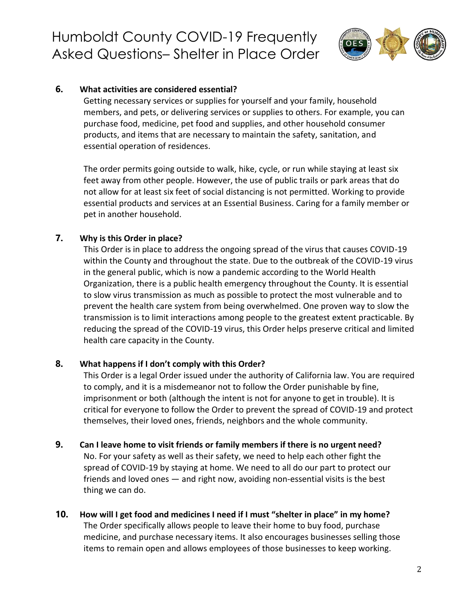

#### **6. [What activities are considered essential?](https://humboldtgov.org/FAQ.aspx?TID=93)**

Getting necessary services or supplies for yourself and your family, household members, and pets, or delivering services or supplies to others. For example, you can purchase food, medicine, pet food and supplies, and other household consumer products, and items that are necessary to maintain the safety, sanitation, and essential operation of residences.

The order permits going outside to walk, hike, cycle, or run while staying at least six feet away from other people. However, the use of public trails or park areas that do not allow for at least six feet of social distancing is not permitted. Working to provide essential products and services at an Essential Business. Caring for a family member or pet in another household.

### **7. [Why is this Order in](https://humboldtgov.org/FAQ.aspx?TID=93) place?**

This Order is in place to address the ongoing spread of the virus that causes COVID-19 within the County and throughout the state. Due to the outbreak of the COVID-19 virus in the general public, which is now a pandemic according to the World Health Organization, there is a public health emergency throughout the County. It is essential to slow virus transmission as much as possible to protect the most vulnerable and to prevent the health care system from being overwhelmed. One proven way to slow the transmission is to limit interactions among people to the greatest extent practicable. By reducing the spread of the COVID-19 virus, this Order helps preserve critical and limited health care capacity in the County.

### **8. [What happens if I don't comply with this](https://humboldtgov.org/FAQ.aspx?TID=93) Order?**

This Order is a legal Order issued under the authority of California law. You are required to comply, and it is a misdemeanor not to follow the Order punishable by fine, imprisonment or both (although the intent is not for anyone to get in trouble). It is critical for everyone to follow the Order to prevent the spread of COVID-19 and protect themselves, their loved ones, friends, neighbors and the whole community.

#### **9. [Can I leave home to visit friends or family members if there is no urgent](https://humboldtgov.org/FAQ.aspx?TID=93) need?**

No. For your safety as well as their safety, we need to help each other fight the spread of COVID-19 by staying at home. We need to all do our part to protect our friends and loved ones — and right now, avoiding non-essential visits is the best thing we can do.

**10. [How will I get food and medicines I need if I must "shelter in place" in my](https://humboldtgov.org/FAQ.aspx?TID=93) home?** The Order specifically allows people to leave their home to buy food, purchase medicine, and purchase necessary items. It also encourages businesses selling those items to remain open and allows employees of those businesses to keep working.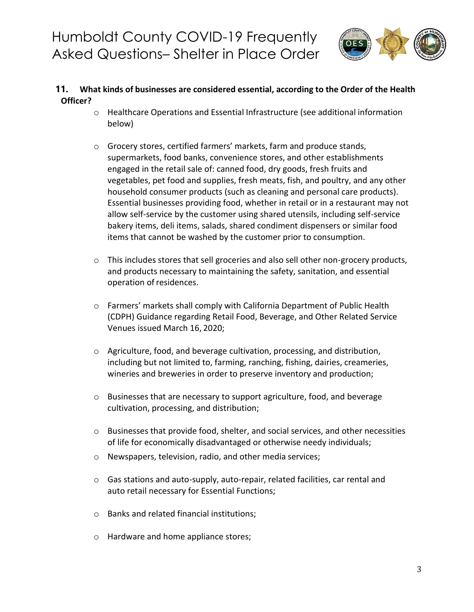

### **11. What kinds of businesses are [considered](https://humboldtgov.org/FAQ.aspx?TID=93) essential, according to the Order of the Health [Officer?](https://humboldtgov.org/FAQ.aspx?TID=93)**

- o Healthcare Operations and Essential Infrastructure (see additional information below)
- o Grocery stores, certified farmers' markets, farm and produce stands, supermarkets, food banks, convenience stores, and other establishments engaged in the retail sale of: canned food, dry goods, fresh fruits and vegetables, pet food and supplies, fresh meats, fish, and poultry, and any other household consumer products (such as cleaning and personal care products). Essential businesses providing food, whether in retail or in a restaurant may not allow self-service by the customer using shared utensils, including self-service bakery items, deli items, salads, shared condiment dispensers or similar food items that cannot be washed by the customer prior to consumption.
- o This includes stores that sell groceries and also sell other non-grocery products, and products necessary to maintaining the safety, sanitation, and essential operation of residences.
- o Farmers' markets shall comply with California Department of Public Health (CDPH) Guidance regarding Retail Food, Beverage, and Other Related Service Venues issued March 16, 2020;
- o Agriculture, food, and beverage cultivation, processing, and distribution, including but not limited to, farming, ranching, fishing, dairies, creameries, wineries and breweries in order to preserve inventory and production;
- o Businesses that are necessary to support agriculture, food, and beverage cultivation, processing, and distribution;
- o Businesses that provide food, shelter, and social services, and other necessities of life for economically disadvantaged or otherwise needy individuals;
- o Newspapers, television, radio, and other media services;
- o Gas stations and auto-supply, auto-repair, related facilities, car rental and auto retail necessary for Essential Functions;
- o Banks and related financial institutions;
- o Hardware and home appliance stores;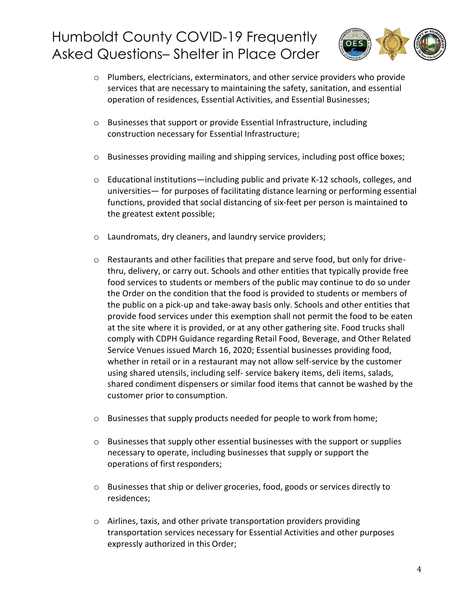

- $\circ$  Plumbers, electricians, exterminators, and other service providers who provide services that are necessary to maintaining the safety, sanitation, and essential operation of residences, Essential Activities, and Essential Businesses;
- o Businesses that support or provide Essential Infrastructure, including construction necessary for Essential Infrastructure;
- o Businesses providing mailing and shipping services, including post office boxes;
- o Educational institutions—including public and private K-12 schools, colleges, and universities— for purposes of facilitating distance learning or performing essential functions, provided that social distancing of six-feet per person is maintained to the greatest extent possible;
- o Laundromats, dry cleaners, and laundry service providers;
- o Restaurants and other facilities that prepare and serve food, but only for drivethru, delivery, or carry out. Schools and other entities that typically provide free food services to students or members of the public may continue to do so under the Order on the condition that the food is provided to students or members of the public on a pick-up and take-away basis only. Schools and other entities that provide food services under this exemption shall not permit the food to be eaten at the site where it is provided, or at any other gathering site. Food trucks shall comply with CDPH Guidance regarding Retail Food, Beverage, and Other Related Service Venues issued March 16, 2020; Essential businesses providing food, whether in retail or in a restaurant may not allow self-service by the customer using shared utensils, including self- service bakery items, deli items, salads, shared condiment dispensers or similar food items that cannot be washed by the customer prior to consumption.
- o Businesses that supply products needed for people to work from home;
- o Businesses that supply other essential businesses with the support or supplies necessary to operate, including businesses that supply or support the operations of first responders;
- o Businesses that ship or deliver groceries, food, goods or services directly to residences;
- o Airlines, taxis, and other private transportation providers providing transportation services necessary for Essential Activities and other purposes expressly authorized in this Order;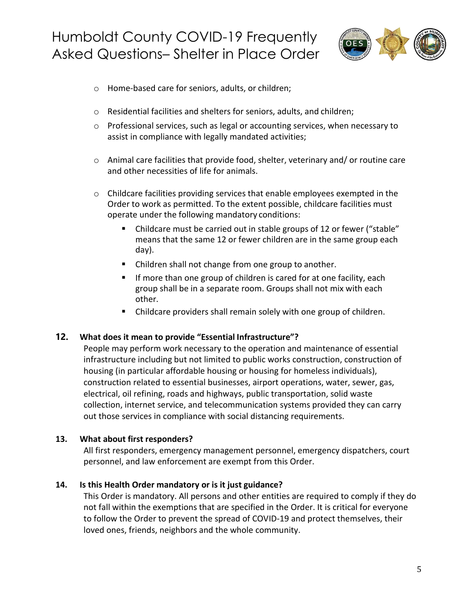

- o Home-based care for seniors, adults, or children;
- o Residential facilities and shelters for seniors, adults, and children;
- $\circ$  Professional services, such as legal or accounting services, when necessary to assist in compliance with legally mandated activities;
- o Animal care facilities that provide food, shelter, veterinary and/ or routine care and other necessities of life for animals.
- $\circ$  Childcare facilities providing services that enable employees exempted in the Order to work as permitted. To the extent possible, childcare facilities must operate under the following mandatory conditions:
	- Childcare must be carried out in stable groups of 12 or fewer ("stable" means that the same 12 or fewer children are in the same group each day).
	- Children shall not change from one group to another.
	- If more than one group of children is cared for at one facility, each group shall be in a separate room. Groups shall not mix with each other.
	- Childcare providers shall remain solely with one group of children.

### **12. [What does it mean to provide "Essential](https://humboldtgov.org/FAQ.aspx?TID=93) Infrastructure"?**

People may perform work necessary to the operation and maintenance of essential infrastructure including but not limited to public works construction, construction of housing (in particular affordable housing or housing for homeless individuals), construction related to essential businesses, airport operations, water, sewer, gas, electrical, oil refining, roads and highways, public transportation, solid waste collection, internet service, and telecommunication systems provided they can carry out those services in compliance with social distancing requirements.

### **13. What about first [responders?](https://humboldtgov.org/FAQ.aspx?TID=93)**

All first responders, emergency management personnel, emergency dispatchers, court personnel, and law enforcement are exempt from this Order.

#### **14. [Is this Health Order mandatory or is it just](https://humboldtgov.org/FAQ.aspx?TID=93) guidance?**

This Order is mandatory. All persons and other entities are required to comply if they do not fall within the exemptions that are specified in the Order. It is critical for everyone to follow the Order to prevent the spread of COVID-19 and protect themselves, their loved ones, friends, neighbors and the whole community.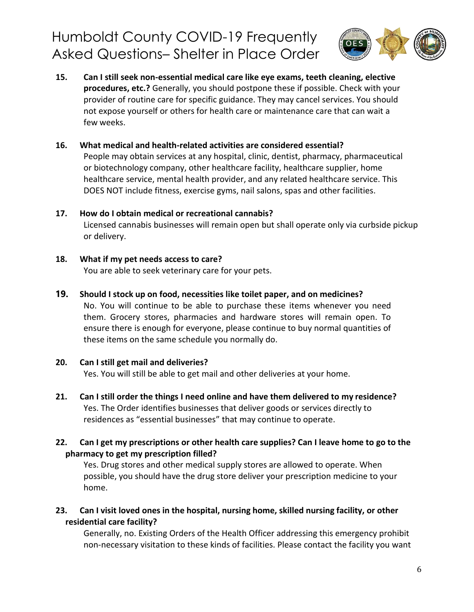

- **15. [Can I still seek non-essential medical care like eye exams, teeth cleaning, elective](https://humboldtgov.org/FAQ.aspx?TID=93)  [procedures, etc.?](https://humboldtgov.org/FAQ.aspx?TID=93)** Generally, you should postpone these if possible. Check with your provider of routine care for specific guidance. They may cancel services. You should not expose yourself or others for health care or maintenance care that can wait a few weeks.
- **16. [What medical and health-related activities are considered](https://humboldtgov.org/FAQ.aspx?TID=93) essential?** People may obtain services at any hospital, clinic, dentist, pharmacy, pharmaceutical or biotechnology company, other healthcare facility, healthcare supplier, home healthcare service, mental health provider, and any related healthcare service. This DOES NOT include fitness, exercise gyms, nail salons, spas and other facilities.
- **17. [How do I obtain medical or recreational](https://humboldtgov.org/FAQ.aspx?TID=93) cannabis?** Licensed cannabis businesses will remain open but shall operate only via curbside pickup or delivery.
- **18. [What if my pet needs access to](https://humboldtgov.org/FAQ.aspx?TID=93) care?**

You are able to seek veterinary care for your pets.

**19. [Should I stock up on food, necessities like toilet paper, and on](https://humboldtgov.org/FAQ.aspx?TID=93) medicines?**

No. You will continue to be able to purchase these items whenever you need them. Grocery stores, pharmacies and hardware stores will remain open. To ensure there is enough for everyone, please continue to buy normal quantities of these items on the same schedule you normally do.

**20. [Can I still get mail and](https://humboldtgov.org/FAQ.aspx?TID=93) deliveries?**

Yes. You will still be able to get mail and other deliveries at your home.

- **21. [Can I still order the things I need online and have them delivered to my](https://humboldtgov.org/FAQ.aspx?TID=93) residence?** Yes. The Order identifies businesses that deliver goods or services directly to residences as "essential businesses" that may continue to operate.
- **22. Can I get my [prescriptions](https://humboldtgov.org/FAQ.aspx?TID=93) or other health care supplies? Can I leave home to go to the [pharmacy](https://humboldtgov.org/FAQ.aspx?TID=93) to get [my prescription](https://humboldtgov.org/FAQ.aspx?TID=93) filled?**

Yes. Drug stores and other medical supply stores are allowed to operate. When possible, you should have the drug store deliver your prescription medicine to your home.

**23. Can I visit loved ones in the [hospital,](https://humboldtgov.org/FAQ.aspx?TID=93) nursing home, skilled nursing facility, or other [residential](https://humboldtgov.org/FAQ.aspx?TID=93) care [facility?](https://humboldtgov.org/FAQ.aspx?TID=93)**

Generally, no. Existing Orders of the Health Officer addressing this emergency prohibit non-necessary visitation to these kinds of facilities. Please contact the facility you want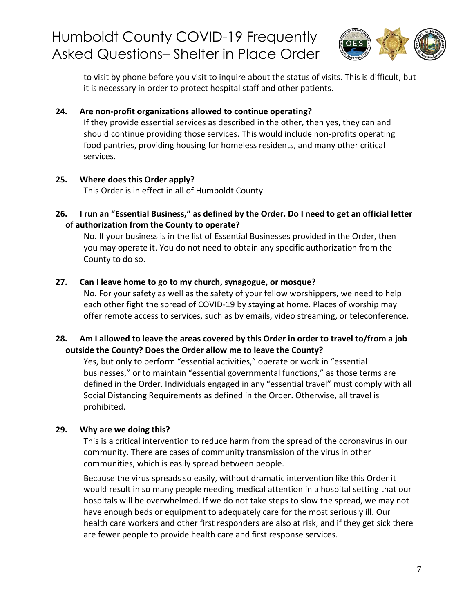

to visit by phone before you visit to inquire about the status of visits. This is difficult, but it is necessary in order to protect hospital staff and other patients.

### **24. [Are non-profit organizations allowed to continue](https://humboldtgov.org/FAQ.aspx?TID=93) operating?**

If they provide essential services as described in the other, then yes, they can and should continue providing those services. This would include non-profits operating food pantries, providing housing for homeless residents, and many other critical services.

### **25. [Where does this Order](https://humboldtgov.org/FAQ.aspx?TID=93) apply?**

This Order is in effect in all of Humboldt County

**26. I run [an "Essential](https://humboldtgov.org/FAQ.aspx?TID=93) Business," as defined by the Order. Do I need to get an official letter of [authorization](https://humboldtgov.org/FAQ.aspx?TID=93) [from the County to](https://humboldtgov.org/FAQ.aspx?TID=93) operate?**

No. If your business is in the list of Essential Businesses provided in the Order, then you may operate it. You do not need to obtain any specific authorization from the County to do so.

### **27. [Can I leave home to go to my church, synagogue, or](https://humboldtgov.org/FAQ.aspx?TID=93) mosque?**

No. For your safety as well as the safety of your fellow worshippers, we need to help each other fight the spread of COVID-19 by staying at home. Places of worship may offer remote access to services, such as by emails, video streaming, or teleconference.

### **28. Am I allowed to leave [the areas](https://humboldtgov.org/FAQ.aspx?TID=93) covered by this Order in order to travel to/from a job [outside](https://humboldtgov.org/FAQ.aspx?TID=93) the [County? Does the Order allow me to leave the](https://humboldtgov.org/FAQ.aspx?TID=93) County?**

Yes, but only to perform "essential activities," operate or work in "essential businesses," or to maintain "essential governmental functions," as those terms are defined in the Order. Individuals engaged in any "essential travel" must comply with all Social Distancing Requirements as defined in the Order. Otherwise, all travel is prohibited.

### **29. [Why are we doing](https://humboldtgov.org/FAQ.aspx?TID=93) this?**

This is a critical intervention to reduce harm from the spread of the coronavirus in our community. There are cases of community transmission of the virus in other communities, which is easily spread between people.

Because the virus spreads so easily, without dramatic intervention like this Order it would result in so many people needing medical attention in a hospital setting that our hospitals will be overwhelmed. If we do not take steps to slow the spread, we may not have enough beds or equipment to adequately care for the most seriously ill. Our health care workers and other first responders are also at risk, and if they get sick there are fewer people to provide health care and first response services.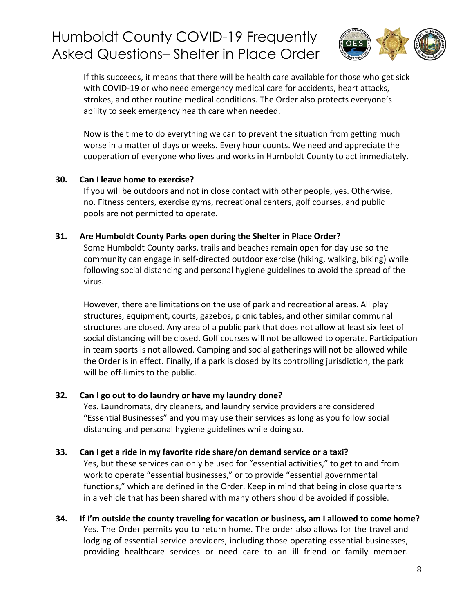

If this succeeds, it means that there will be health care available for those who get sick with COVID-19 or who need emergency medical care for accidents, heart attacks, strokes, and other routine medical conditions. The Order also protects everyone's ability to seek emergency health care when needed.

Now is the time to do everything we can to prevent the situation from getting much worse in a matter of days or weeks. Every hour counts. We need and appreciate the cooperation of everyone who lives and works in Humboldt County to act immediately.

#### **30. [Can I leave home to](https://humboldtgov.org/FAQ.aspx?TID=93) exercise?**

If you will be outdoors and not in close contact with other people, yes. Otherwise, no. Fitness centers, exercise gyms, recreational centers, golf courses, and public pools are not permitted to operate.

#### **31. [Are Humboldt County Parks open during the Shelter in Place](https://humboldtgov.org/FAQ.aspx?TID=93) Order?**

Some Humboldt County parks, trails and beaches remain open for day use so the community can engage in self-directed outdoor exercise (hiking, walking, biking) while following social distancing and personal hygiene guidelines to avoid the spread of the virus.

However, there are limitations on the use of park and recreational areas. All play structures, equipment, courts, gazebos, picnic tables, and other similar communal structures are closed. Any area of a public park that does not allow at least six feet of social distancing will be closed. Golf courses will not be allowed to operate. Participation in team sports is not allowed. Camping and social gatherings will not be allowed while the Order is in effect. Finally, if a park is closed by its controlling jurisdiction, the park will be off-limits to the public.

#### **32. [Can I go out to do laundry or have my laundry](https://humboldtgov.org/FAQ.aspx?TID=93) done?**

Yes. Laundromats, dry cleaners, and laundry service providers are considered "Essential Businesses" and you may use their services as long as you follow social distancing and personal hygiene guidelines while doing so.

### **33. [Can I get a ride in my favorite ride share/on demand service or a](https://humboldtgov.org/FAQ.aspx?TID=93) taxi?**

Yes, but these services can only be used for "essential activities," to get to and from work to operate "essential businesses," or to provide "essential governmental functions," which are defined in the Order. Keep in mind that being in close quarters in a vehicle that has been shared with many others should be avoided if possible.

### **34. [If I'm outside the county traveling for vacation or business, am I allowed to come](https://humboldtgov.org/FAQ.aspx?TID=93) home?**

Yes. The Order permits you to return home. The order also allows for the travel and lodging of essential service providers, including those operating essential businesses, providing healthcare services or need care to an ill friend or family member.